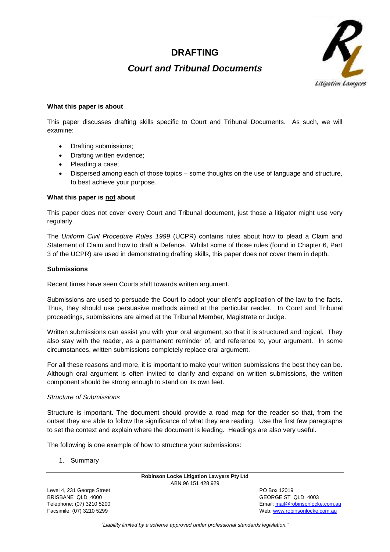# **DRAFTING**

# *Court and Tribunal Documents*



### **What this paper is about**

This paper discusses drafting skills specific to Court and Tribunal Documents. As such, we will examine:

- Drafting submissions;
- Drafting written evidence:
- Pleading a case;
- Dispersed among each of those topics some thoughts on the use of language and structure, to best achieve your purpose.

### **What this paper is not about**

This paper does not cover every Court and Tribunal document, just those a litigator might use very regularly.

The *Uniform Civil Procedure Rules 1999* (UCPR) contains rules about how to plead a Claim and Statement of Claim and how to draft a Defence. Whilst some of those rules (found in Chapter 6, Part 3 of the UCPR) are used in demonstrating drafting skills, this paper does not cover them in depth.

### **Submissions**

Recent times have seen Courts shift towards written argument.

Submissions are used to persuade the Court to adopt your client's application of the law to the facts. Thus, they should use persuasive methods aimed at the particular reader. In Court and Tribunal proceedings, submissions are aimed at the Tribunal Member, Magistrate or Judge.

Written submissions can assist you with your oral argument, so that it is structured and logical. They also stay with the reader, as a permanent reminder of, and reference to, your argument. In some circumstances, written submissions completely replace oral argument.

For all these reasons and more, it is important to make your written submissions the best they can be. Although oral argument is often invited to clarify and expand on written submissions, the written component should be strong enough to stand on its own feet.

### *Structure of Submissions*

Structure is important. The document should provide a road map for the reader so that, from the outset they are able to follow the significance of what they are reading. Use the first few paragraphs to set the context and explain where the document is leading. Headings are also very useful.

The following is one example of how to structure your submissions:

1. Summary

**Robinson Locke Litigation Lawyers Pty Ltd** ABN 96 151 428 929

Level 4, 231 George Street **PO Box 12019** BRISBANE QLD 4000 GEORGE ST QLD 4003

Telephone: (07) 3210 5200 Email[: mail@robinsonlocke.com.au](mailto:mail@robinsonlocke.com.au) Facsimile: (07) 3210 5299 Web: [www.robinsonlocke.com.au](http://www.robinsonlocke.com.au/)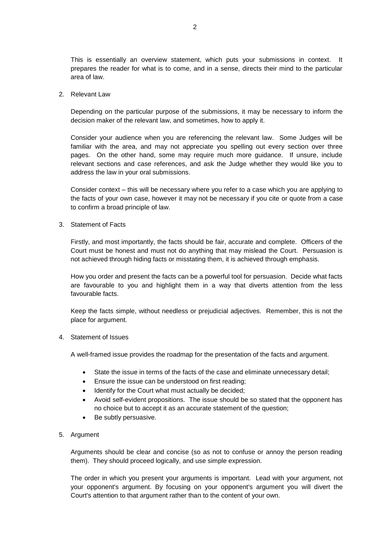This is essentially an overview statement, which puts your submissions in context. It prepares the reader for what is to come, and in a sense, directs their mind to the particular area of law.

2. Relevant Law

Depending on the particular purpose of the submissions, it may be necessary to inform the decision maker of the relevant law, and sometimes, how to apply it.

Consider your audience when you are referencing the relevant law. Some Judges will be familiar with the area, and may not appreciate you spelling out every section over three pages. On the other hand, some may require much more guidance. If unsure, include relevant sections and case references, and ask the Judge whether they would like you to address the law in your oral submissions.

Consider context – this will be necessary where you refer to a case which you are applying to the facts of your own case, however it may not be necessary if you cite or quote from a case to confirm a broad principle of law.

3. Statement of Facts

Firstly, and most importantly, the facts should be fair, accurate and complete. Officers of the Court must be honest and must not do anything that may mislead the Court. Persuasion is not achieved through hiding facts or misstating them, it is achieved through emphasis.

How you order and present the facts can be a powerful tool for persuasion. Decide what facts are favourable to you and highlight them in a way that diverts attention from the less favourable facts.

Keep the facts simple, without needless or prejudicial adjectives. Remember, this is not the place for argument.

### 4. Statement of Issues

A well-framed issue provides the roadmap for the presentation of the facts and argument.

- State the issue in terms of the facts of the case and eliminate unnecessary detail;
- Ensure the issue can be understood on first reading;
- Identify for the Court what must actually be decided;
- Avoid self-evident propositions. The issue should be so stated that the opponent has no choice but to accept it as an accurate statement of the question;
- Be subtly persuasive.
- 5. Argument

Arguments should be clear and concise (so as not to confuse or annoy the person reading them). They should proceed logically, and use simple expression.

The order in which you present your arguments is important. Lead with your argument, not your opponent's argument. By focusing on your opponent's argument you will divert the Court's attention to that argument rather than to the content of your own.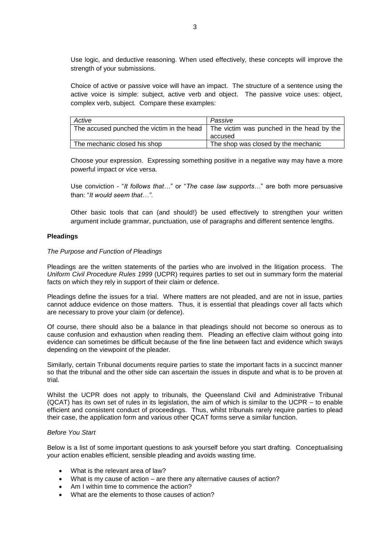Use logic, and deductive reasoning. When used effectively, these concepts will improve the strength of your submissions.

Choice of active or passive voice will have an impact. The structure of a sentence using the active voice is simple: subject, active verb and object. The passive voice uses: object, complex verb, subject. Compare these examples:

| Active                       | Passive                                                                                |
|------------------------------|----------------------------------------------------------------------------------------|
|                              | The accused punched the victim in the head   The victim was punched in the head by the |
|                              | accused                                                                                |
| The mechanic closed his shop | The shop was closed by the mechanic                                                    |

Choose your expression. Expressing something positive in a negative way may have a more powerful impact or vice versa.

Use conviction - "*It follows that…*" or "*The case law supports…*" are both more persuasive than: "*It would seem that…"*.

Other basic tools that can (and should!) be used effectively to strengthen your written argument include grammar, punctuation, use of paragraphs and different sentence lengths.

### **Pleadings**

#### *The Purpose and Function of Pleadings*

Pleadings are the written statements of the parties who are involved in the litigation process. The *Uniform Civil Procedure Rules 1999* (UCPR) requires parties to set out in summary form the material facts on which they rely in support of their claim or defence.

Pleadings define the issues for a trial. Where matters are not pleaded, and are not in issue, parties cannot adduce evidence on those matters. Thus, it is essential that pleadings cover all facts which are necessary to prove your claim (or defence).

Of course, there should also be a balance in that pleadings should not become so onerous as to cause confusion and exhaustion when reading them. Pleading an effective claim without going into evidence can sometimes be difficult because of the fine line between fact and evidence which sways depending on the viewpoint of the pleader.

Similarly, certain Tribunal documents require parties to state the important facts in a succinct manner so that the tribunal and the other side can ascertain the issues in dispute and what is to be proven at trial.

Whilst the UCPR does not apply to tribunals, the Queensland Civil and Administrative Tribunal (QCAT) has its own set of rules in its legislation, the aim of which is similar to the UCPR – to enable efficient and consistent conduct of proceedings. Thus, whilst tribunals rarely require parties to plead their case, the application form and various other QCAT forms serve a similar function.

### *Before You Start*

Below is a list of some important questions to ask yourself before you start drafting. Conceptualising your action enables efficient, sensible pleading and avoids wasting time.

- What is the relevant area of law?
- What is my cause of action are there any alternative causes of action?
- Am I within time to commence the action?
- What are the elements to those causes of action?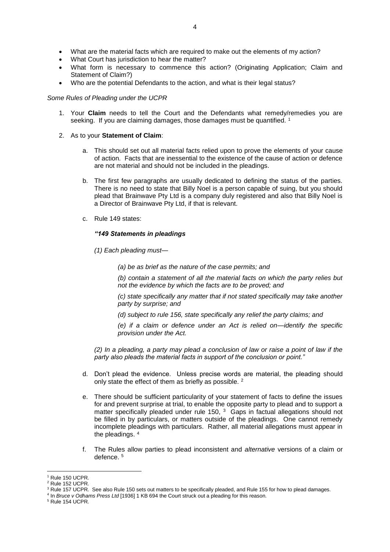- What are the material facts which are required to make out the elements of my action?
- What Court has jurisdiction to hear the matter?
- What form is necessary to commence this action? (Originating Application; Claim and Statement of Claim?)
- Who are the potential Defendants to the action, and what is their legal status?

## *Some Rules of Pleading under the UCPR*

- 1. Your **Claim** needs to tell the Court and the Defendants what remedy/remedies you are seeking. If you are claiming damages, those damages must be quantified.<sup>1</sup>
- 2. As to your **Statement of Claim**:
	- a. This should set out all material facts relied upon to prove the elements of your cause of action. Facts that are inessential to the existence of the cause of action or defence are not material and should not be included in the pleadings.
	- b. The first few paragraphs are usually dedicated to defining the status of the parties. There is no need to state that Billy Noel is a person capable of suing, but you should plead that Brainwave Pty Ltd is a company duly registered and also that Billy Noel is a Director of Brainwave Pty Ltd, if that is relevant.
	- c. Rule 149 states:

### *"149 Statements in pleadings*

*(1) Each pleading must—*

*(a) be as brief as the nature of the case permits; and*

*(b) contain a statement of all the material facts on which the party relies but not the evidence by which the facts are to be proved; and*

*(c) state specifically any matter that if not stated specifically may take another party by surprise; and*

*(d) subject to rule 156, state specifically any relief the party claims; and*

*(e) if a claim or defence under an Act is relied on—identify the specific provision under the Act.*

*(2) In a pleading, a party may plead a conclusion of law or raise a point of law if the party also pleads the material facts in support of the conclusion or point."*

- d. Don't plead the evidence. Unless precise words are material, the pleading should only state the effect of them as briefly as possible. <sup>2</sup>
- e. There should be sufficient particularity of your statement of facts to define the issues for and prevent surprise at trial, to enable the opposite party to plead and to support a matter specifically pleaded under rule  $150<sub>1</sub>$ ,  $3<sub>3</sub>$  Gaps in factual allegations should not be filled in by particulars, or matters outside of the pleadings. One cannot remedy incomplete pleadings with particulars. Rather, all material allegations must appear in the pleadings. <sup>4</sup>
- f. The Rules allow parties to plead inconsistent and *alternative* versions of a claim or defence. <sup>5</sup>

**.** 

<sup>&</sup>lt;sup>1</sup> Rule 150 UCPR.

<sup>&</sup>lt;sup>2</sup> Rule 152 UCPR.

<sup>&</sup>lt;sup>3</sup> Rule 157 UCPR. See also Rule 150 sets out matters to be specifically pleaded, and Rule 155 for how to plead damages.

<sup>4</sup> In *Bruce v Odhams Press Ltd* [1936] 1 KB 694 the Court struck out a pleading for this reason.

<sup>5</sup> Rule 154 UCPR.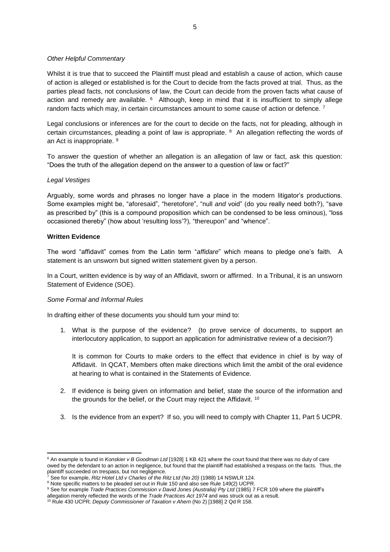### *Other Helpful Commentary*

Whilst it is true that to succeed the Plaintiff must plead and establish a cause of action, which cause of action is alleged or established is for the Court to decide from the facts proved at trial. Thus, as the parties plead facts, not conclusions of law, the Court can decide from the proven facts what cause of action and remedy are available. <sup>6</sup> Although, keep in mind that it is insufficient to simply allege random facts which may, in certain circumstances amount to some cause of action or defence.<sup>7</sup>

Legal conclusions or inferences are for the court to decide on the facts, not for pleading, although in certain circumstances, pleading a point of law is appropriate.  $8$  An allegation reflecting the words of an Act is inappropriate. <sup>9</sup>

To answer the question of whether an allegation is an allegation of law or fact, ask this question: "Does the truth of the allegation depend on the answer to a question of law or fact?"

### *Legal Vestiges*

Arguably, some words and phrases no longer have a place in the modern litigator's productions. Some examples might be, "aforesaid", "heretofore", "null *and* void" (do you really need both?), "save as prescribed by" (this is a compound proposition which can be condensed to be less ominous), "loss occasioned thereby" (how about 'resulting loss'?), "thereupon" and "whence".

### **Written Evidence**

1

The word "affidavit" comes from the Latin term "*affidare*" which means to pledge one's faith. A statement is an unsworn but signed written statement given by a person.

In a Court, written evidence is by way of an Affidavit, sworn or affirmed. In a Tribunal, it is an unsworn Statement of Evidence (SOE).

### *Some Formal and Informal Rules*

In drafting either of these documents you should turn your mind to:

1. What is the purpose of the evidence? (to prove service of documents, to support an interlocutory application, to support an application for administrative review of a decision?)

It is common for Courts to make orders to the effect that evidence in chief is by way of Affidavit. In QCAT, Members often make directions which limit the ambit of the oral evidence at hearing to what is contained in the Statements of Evidence.

- 2. If evidence is being given on information and belief, state the source of the information and the grounds for the belief, or the Court may reject the Affidavit. <sup>10</sup>
- 3. Is the evidence from an expert? If so, you will need to comply with Chapter 11, Part 5 UCPR.

<sup>6</sup> An example is found in *Konskier v B Goodman Ltd* [1928] 1 KB 421 where the court found that there was no duty of care owed by the defendant to an action in negligence, but found that the plaintiff had established a trespass on the facts. Thus, the plaintiff succeeded on trespass, but not negligence.<br>
<sup>7</sup> See for example,  $\Gamma$ <sup>2</sup>

<sup>7</sup> See for example, *Ritz Hotel Ltd v Charles of the Ritz Ltd (No 20)* (1988) 14 NSWLR 124.

<sup>&</sup>lt;sup>8</sup> Note specific matters to be pleaded set out in Rule 150 and also see Rule 149(2) UCPR.

<sup>9</sup> See for example *Trade Practices Commission v David Jones (Australia) Pty Ltd* (1985) 7 FCR 109 where the plaintiff's

allegation merely reflected the words of the *Trade Practices Act 1974* and was struck out as a result.

<sup>10</sup> Rule 430 UCPR; *Deputy Commissioner of Taxation v Ahern* (No 2) [1988] 2 Qd R 158.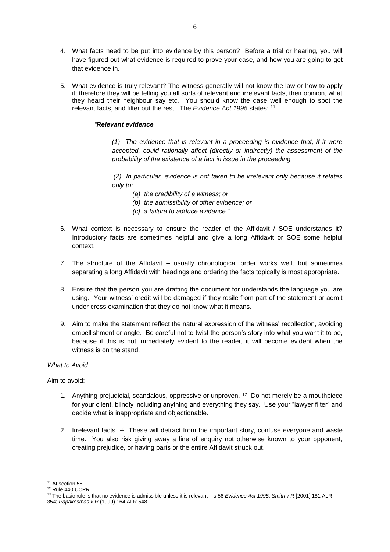- 4. What facts need to be put into evidence by this person? Before a trial or hearing, you will have figured out what evidence is required to prove your case, and how you are going to get that evidence in.
- 5. What evidence is truly relevant? The witness generally will not know the law or how to apply it; therefore they will be telling you all sorts of relevant and irrelevant facts, their opinion, what they heard their neighbour say etc. You should know the case well enough to spot the relevant facts, and filter out the rest. The *Evidence Act 1995* states: <sup>11</sup>

### *"Relevant evidence*

*(1) The evidence that is relevant in a proceeding is evidence that, if it were accepted, could rationally affect (directly or indirectly) the assessment of the probability of the existence of a fact in issue in the proceeding.*

*(2) In particular, evidence is not taken to be irrelevant only because it relates only to:*

- *(a) the credibility of a witness; or*
- *(b) the admissibility of other evidence; or*
- *(c) a failure to adduce evidence."*
- 6. What context is necessary to ensure the reader of the Affidavit / SOE understands it? Introductory facts are sometimes helpful and give a long Affidavit or SOE some helpful context.
- 7. The structure of the Affidavit usually chronological order works well, but sometimes separating a long Affidavit with headings and ordering the facts topically is most appropriate.
- 8. Ensure that the person you are drafting the document for understands the language you are using. Your witness' credit will be damaged if they resile from part of the statement or admit under cross examination that they do not know what it means.
- 9. Aim to make the statement reflect the natural expression of the witness' recollection, avoiding embellishment or angle. Be careful not to twist the person's story into what you want it to be, because if this is not immediately evident to the reader, it will become evident when the witness is on the stand.

### *What to Avoid*

Aim to avoid:

- 1. Anything prejudicial, scandalous, oppressive or unproven. <sup>12</sup> Do not merely be a mouthpiece for your client, blindly including anything and everything they say. Use your "lawyer filter" and decide what is inappropriate and objectionable.
- 2. Irrelevant facts. <sup>13</sup> These will detract from the important story, confuse everyone and waste time. You also risk giving away a line of enquiry not otherwise known to your opponent, creating prejudice, or having parts or the entire Affidavit struck out.

**.** 

<sup>&</sup>lt;sup>11</sup> At section 55.

<sup>&</sup>lt;sup>12</sup> Rule 440 UCPR;

<sup>13</sup> The basic rule is that no evidence is admissible unless it is relevant – s 56 *Evidence Act 1995*; *Smith v R* [2001] 181 ALR 354; *Papakosmas v R* (1999) 164 ALR 548.